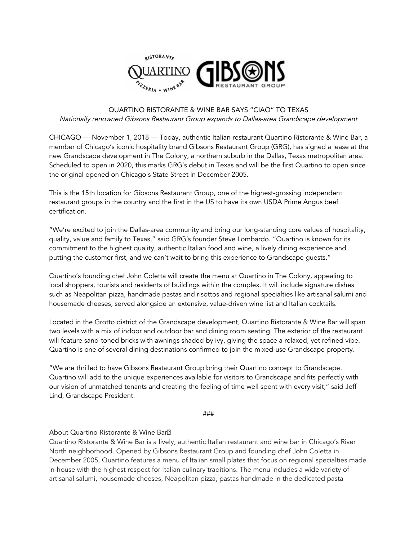

## QUARTINO RISTORANTE & WINE BAR SAYS "CIAO" TO TEXAS Nationally renowned Gibsons Restaurant Group expands to Dallas-area Grandscape development

CHICAGO — November 1, 2018 — Today, authentic Italian restaurant Quartino Ristorante & Wine Bar, a member of Chicago's iconic hospitality brand Gibsons Restaurant Group (GRG), has signed a lease at the new Grandscape development in The Colony, a northern suburb in the Dallas, Texas metropolitan area. Scheduled to open in 2020, this marks GRG's debut in Texas and will be the first Quartino to open since the original opened on Chicago's State Street in December 2005.

This is the 15th location for Gibsons Restaurant Group, one of the highest-grossing independent restaurant groups in the country and the first in the US to have its own USDA Prime Angus beef certification.

"We're excited to join the Dallas-area community and bring our long-standing core values of hospitality, quality, value and family to Texas," said GRG's founder Steve Lombardo. "Quartino is known for its commitment to the highest quality, authentic Italian food and wine, a lively dining experience and putting the customer first, and we can't wait to bring this experience to Grandscape guests."

Quartino's founding chef John Coletta will create the menu at Quartino in The Colony, appealing to local shoppers, tourists and residents of buildings within the complex. It will include signature dishes such as Neapolitan pizza, handmade pastas and risottos and regional specialties like artisanal salumi and housemade cheeses, served alongside an extensive, value-driven wine list and Italian cocktails.

Located in the Grotto district of the Grandscape development, Quartino Ristorante & Wine Bar will span two levels with a mix of indoor and outdoor bar and dining room seating. The exterior of the restaurant will feature sand-toned bricks with awnings shaded by ivy, giving the space a relaxed, yet refined vibe. Quartino is one of several dining destinations confirmed to join the mixed-use Grandscape property.

"We are thrilled to have Gibsons Restaurant Group bring their Quartino concept to Grandscape. Quartino will add to the unique experiences available for visitors to Grandscape and fits perfectly with our vision of unmatched tenants and creating the feeling of time well spent with every visit," said Jeff Lind, Grandscape President.

###

## About Quartino Ristorante & Wine Bar

Quartino Ristorante & Wine Bar is a lively, authentic Italian restaurant and wine bar in Chicago's River North neighborhood. Opened by Gibsons Restaurant Group and founding chef John Coletta in December 2005, Quartino features a menu of Italian small plates that focus on regional specialties made in-house with the highest respect for Italian culinary traditions. The menu includes a wide variety of artisanal salumi, housemade cheeses, Neapolitan pizza, pastas handmade in the dedicated pasta